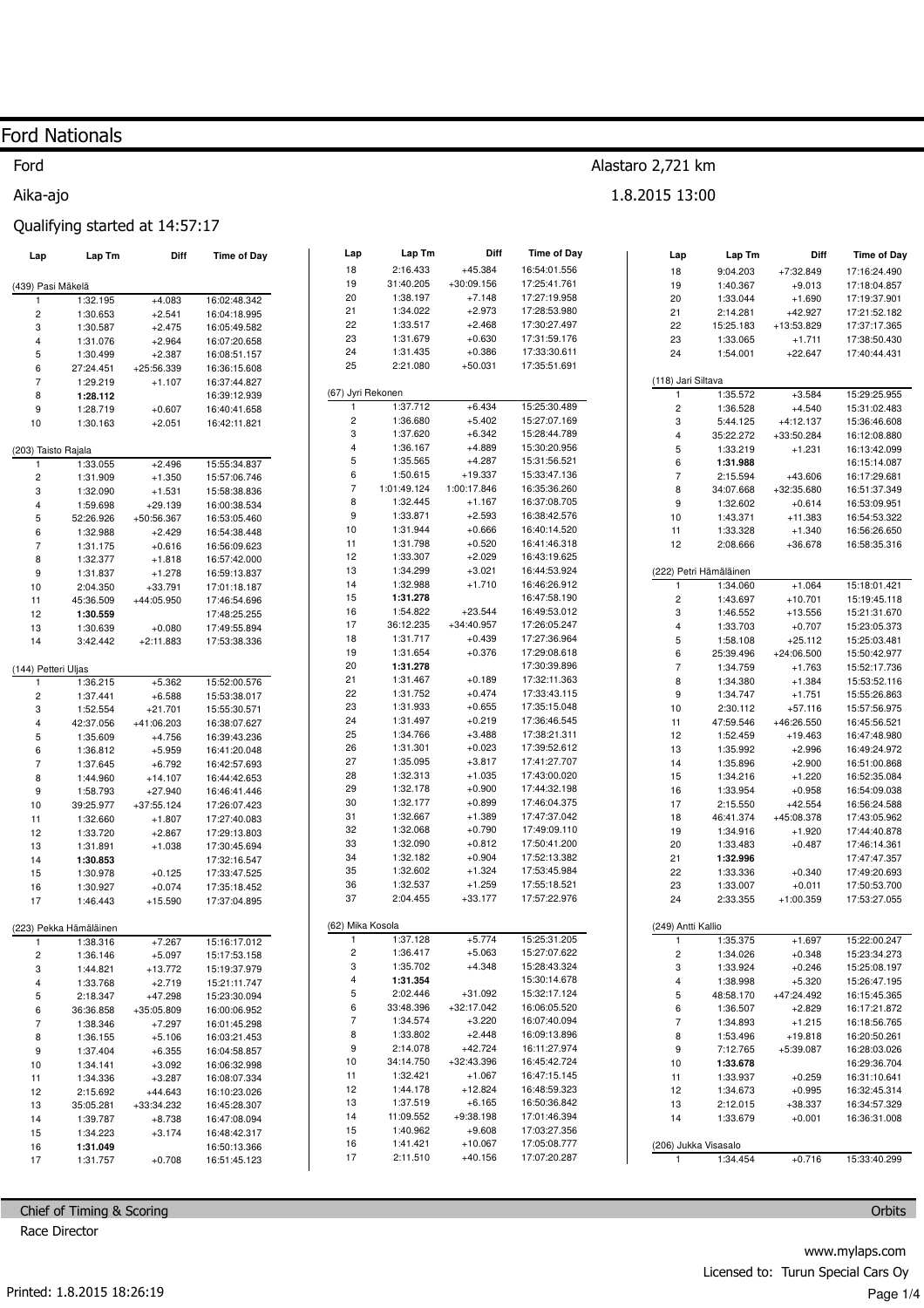Ford

#### Aika-ajo

## Qualifying started at 14:57:17

| Lap                       | Lap Tm                 | Diff                 | <b>Time of Day</b>           | Lap              | Lap Tm               | Diff                 | <b>Time of Day</b>           | Lap                      | Lap Tm                 | Diff                 | <b>Time of Day</b>           |
|---------------------------|------------------------|----------------------|------------------------------|------------------|----------------------|----------------------|------------------------------|--------------------------|------------------------|----------------------|------------------------------|
|                           |                        |                      |                              | 18               | 2:16.433             | $+45.384$            | 16:54:01.556                 | 18                       | 9:04.203               | $+7:32.849$          | 17:16:24.490                 |
| (439) Pasi Mäkelä         |                        |                      |                              | 19               | 31:40.205            | +30:09.156           | 17:25:41.761                 | 19                       | 1:40.367               | $+9.013$             | 17:18:04.857                 |
| $\mathbf{1}$              | 1:32.195               | $+4.083$             | 16:02:48.342                 | 20               | 1:38.197             | $+7.148$             | 17:27:19.958                 | 20                       | 1:33.044               | $+1.690$             | 17:19:37.901                 |
| $\sqrt{2}$                | 1:30.653               | $+2.541$             | 16:04:18.995                 | 21               | 1:34.022             | $+2.973$             | 17:28:53.980                 | 21                       | 2:14.281               | $+42.927$            | 17:21:52.182                 |
| 3                         | 1:30.587               | $+2.475$             | 16:05:49.582                 | 22               | 1:33.517             | $+2.468$             | 17:30:27.497                 | 22                       | 15:25.183              | +13:53.829           | 17:37:17.365                 |
| $\overline{\mathbf{4}}$   | 1:31.076               | $+2.964$             | 16:07:20.658                 | 23               | 1:31.679             | $+0.630$             | 17:31:59.176                 | 23                       | 1:33.065               | $+1.711$             | 17:38:50.430                 |
| 5                         | 1:30.499               | $+2.387$             | 16:08:51.157                 | 24               | 1:31.435             | $+0.386$             | 17:33:30.611                 | 24                       | 1:54.001               | $+22.647$            | 17:40:44.431                 |
|                           |                        |                      |                              | 25               | 2:21.080             | $+50.031$            | 17:35:51.691                 |                          |                        |                      |                              |
| $\,6\,$<br>$\overline{7}$ | 27:24.451<br>1:29.219  | +25:56.339           | 16:36:15.608                 |                  |                      |                      |                              | (118) Jari Siltava       |                        |                      |                              |
|                           |                        | $+1.107$             | 16:37:44.827                 |                  | (67) Jyri Rekonen    |                      |                              | $\mathbf{1}$             | 1:35.572               | $+3.584$             | 15:29:25.955                 |
| 8                         | 1:28.112               |                      | 16:39:12.939                 | $\mathbf{1}$     | 1:37.712             | $+6.434$             | 15:25:30.489                 | $\overline{\mathbf{c}}$  | 1:36.528               | $+4.540$             |                              |
| 9                         | 1:28.719               | $+0.607$             | 16:40:41.658                 | $\sqrt{2}$       | 1:36.680             | $+5.402$             | 15:27:07.169                 | 3                        | 5:44.125               | $+4:12.137$          | 15:31:02.483<br>15:36:46.608 |
| 10                        | 1:30.163               | $+2.051$             | 16:42:11.821                 | 3                | 1:37.620             | $+6.342$             | 15:28:44.789                 | $\overline{4}$           | 35:22.272              | +33:50.284           | 16:12:08.880                 |
|                           |                        |                      |                              | $\overline{4}$   | 1:36.167             | $+4.889$             | 15:30:20.956                 | 5                        | 1:33.219               | $+1.231$             | 16:13:42.099                 |
| (203) Taisto Rajala       |                        |                      |                              | $\mathbf 5$      | 1:35.565             | $+4.287$             | 15:31:56.521                 | 6                        |                        |                      |                              |
| $\mathbf{1}$              | 1:33.055               | $+2.496$             | 15:55:34.837                 | $\boldsymbol{6}$ | 1:50.615             | $+19.337$            | 15:33:47.136                 | $\overline{\mathcal{I}}$ | 1:31.988               |                      | 16:15:14.087                 |
| $\overline{c}$            | 1:31.909               | $+1.350$             | 15:57:06.746                 | $\overline{7}$   | 1:01:49.124          | 1:00:17.846          | 16:35:36.260                 | 8                        | 2:15.594               | $+43.606$            | 16:17:29.681                 |
| 3                         | 1:32.090               | $+1.531$             | 15:58:38.836                 | 8                | 1:32.445             | $+1.167$             | 16:37:08.705                 |                          | 34:07.668              | +32:35.680           | 16:51:37.349                 |
| 4                         | 1:59.698               | $+29.139$            | 16:00:38.534                 | 9                | 1:33.871             | $+2.593$             | 16:38:42.576                 | $\boldsymbol{9}$         | 1:32.602               | $+0.614$             | 16:53:09.951                 |
| 5                         | 52:26.926              | +50:56.367           | 16:53:05.460                 | $10$             | 1:31.944             | $+0.666$             | 16:40:14.520                 | 10                       | 1:43.371               | $+11.383$            | 16:54:53.322                 |
| 6                         | 1:32.988               | $+2.429$             | 16:54:38.448                 |                  |                      |                      |                              | 11                       | 1:33.328               | $+1.340$             | 16:56:26.650                 |
| $\overline{7}$            | 1:31.175               | $+0.616$             | 16:56:09.623                 | 11               | 1:31.798             | $+0.520$             | 16:41:46.318                 | 12                       | 2:08.666               | $+36.678$            | 16:58:35.316                 |
| 8                         | 1:32.377               | $+1.818$             | 16:57:42.000                 | 12               | 1:33.307             | $+2.029$             | 16:43:19.625                 |                          |                        |                      |                              |
| 9                         | 1:31.837               | $+1.278$             | 16:59:13.837                 | 13               | 1:34.299             | $+3.021$             | 16:44:53.924                 |                          | (222) Petri Hämäläinen |                      |                              |
| 10                        | 2:04.350               | $+33.791$            | 17:01:18.187                 | 14               | 1:32.988             | $+1.710$             | 16:46:26.912                 | 1                        | 1:34.060               | $+1.064$             | 15:18:01.421                 |
| 11                        | 45:36.509              | +44:05.950           | 17:46:54.696                 | 15               | 1:31.278             |                      | 16:47:58.190                 | $\sqrt{2}$               | 1:43.697               | $+10.701$            | 15:19:45.118                 |
| 12                        | 1:30.559               |                      | 17:48:25.255                 | 16               | 1:54.822             | $+23.544$            | 16:49:53.012                 | 3                        | 1:46.552               | $+13.556$            | 15:21:31.670                 |
| 13                        | 1:30.639               | $+0.080$             | 17:49:55.894                 | 17               | 36:12.235            | +34:40.957           | 17:26:05.247                 | $\overline{4}$           | 1:33.703               | $+0.707$             | 15:23:05.373                 |
| 14                        | 3:42.442               | $+2:11.883$          | 17:53:38.336                 | 18               | 1:31.717             | $+0.439$             | 17:27:36.964                 | 5                        | 1:58.108               | $+25.112$            | 15:25:03.481                 |
|                           |                        |                      |                              | 19               | 1:31.654             | $+0.376$             | 17:29:08.618                 | 6                        | 25:39.496              | $+24:06.500$         | 15:50:42.977                 |
| (144) Petteri Uljas       |                        |                      |                              | $20\,$           | 1:31.278             |                      | 17:30:39.896                 | $\overline{7}$           | 1:34.759               | $+1.763$             | 15:52:17.736                 |
| $\mathbf{1}$              | 1:36.215               | $+5.362$             | 15:52:00.576                 | 21               | 1:31.467             | $+0.189$             | 17:32:11.363                 | 8                        | 1:34.380               | $+1.384$             | 15:53:52.116                 |
| $\sqrt{2}$                | 1:37.441               | $+6.588$             | 15:53:38.017                 | 22<br>23         | 1:31.752<br>1:31.933 | $+0.474$<br>$+0.655$ | 17:33:43.115<br>17:35:15.048 | $\boldsymbol{9}$         | 1:34.747               | $+1.751$             | 15:55:26.863                 |
| 3                         | 1:52.554               | $+21.701$            | 15:55:30.571                 | 24               | 1:31.497             | $+0.219$             | 17:36:46.545                 | 10                       | 2:30.112               | $+57.116$            | 15:57:56.975                 |
| $\overline{\mathbf{4}}$   | 42:37.056              | +41:06.203           | 16:38:07.627                 | 25               | 1:34.766             | $+3.488$             | 17:38:21.311                 | 11<br>12                 | 47:59.546              | +46:26.550           | 16:45:56.521                 |
| 5                         | 1:35.609               | $+4.756$             | 16:39:43.236                 | 26               | 1:31.301             | $+0.023$             | 17:39:52.612                 | 13                       | 1:52.459               | $+19.463$            | 16:47:48.980<br>16:49:24.972 |
| $\,6\,$<br>$\overline{7}$ | 1:36.812               | $+5.959$             | 16:41:20.048                 | 27               | 1:35.095             | $+3.817$             | 17:41:27.707                 | 14                       | 1:35.992<br>1:35.896   | $+2.996$<br>$+2.900$ | 16:51:00.868                 |
|                           | 1:37.645               | $+6.792$             | 16:42:57.693                 | 28               | 1:32.313             | $+1.035$             | 17:43:00.020                 | 15                       | 1:34.216               | $+1.220$             | 16:52:35.084                 |
| 8                         | 1:44.960               | $+14.107$            | 16:44:42.653                 | 29               | 1:32.178             | $+0.900$             | 17:44:32.198                 | 16                       | 1:33.954               | $+0.958$             | 16:54:09.038                 |
| 9                         | 1:58.793<br>39:25.977  | $+27.940$            | 16:46:41.446                 | $30\,$           | 1:32.177             | $+0.899$             | 17:46:04.375                 | 17                       | 2:15.550               | $+42.554$            | 16:56:24.588                 |
| $10$                      |                        | $+37:55.124$         | 17:26:07.423                 | 31               | 1:32.667             | $+1.389$             | 17:47:37.042                 | 18                       | 46:41.374              | +45:08.378           | 17:43:05.962                 |
| 11                        | 1:32.660               | $+1.807$             | 17:27:40.083                 | 32               | 1:32.068             | $+0.790$             | 17:49:09.110                 | 19                       | 1:34.916               | $+1.920$             | 17:44:40.878                 |
| 12                        | 1:33.720               | $+2.867$             | 17:29:13.803                 | 33               | 1:32.090             | $+0.812$             | 17:50:41.200                 | 20                       | 1:33.483               | $+0.487$             | 17:46:14.361                 |
| 13                        | 1:31.891               | $+1.038$             | 17:30:45.694                 | 34               | 1:32.182             | $+0.904$             | 17:52:13.382                 | 21                       | 1:32.996               |                      | 17:47:47.357                 |
| 14                        | 1:30.853               |                      | 17:32:16.547                 | 35               | 1:32.602             | $+1.324$             | 17:53:45.984                 | 22                       | 1:33.336               | $+0.340$             | 17:49:20.693                 |
| 15                        | 1:30.978               | $+0.125$             | 17:33:47.525                 | 36               | 1:32.537             | $+1.259$             | 17:55:18.521                 | 23                       | 1:33.007               | $+0.011$             | 17:50:53.700                 |
| 16                        | 1:30.927               | $+0.074$             | 17:35:18.452                 | 37               | 2:04.455             | $+33.177$            | 17:57:22.976                 | 24                       | 2:33.355               | $+1:00.359$          | 17:53:27.055                 |
| 17                        | 1:46.443               | $+15.590$            | 17:37:04.895                 |                  |                      |                      |                              |                          |                        |                      |                              |
|                           | (223) Pekka Hämäläinen |                      |                              |                  | (62) Mika Kosola     |                      |                              | (249) Antti Kallio       |                        |                      |                              |
|                           | 1:38.316               | $+7.267$             | 15:16:17.012                 | $\mathbf{1}$     | 1:37.128             | $+5.774$             | 15:25:31.205                 |                          | 1:35.375               | $+1.697$             | 15:22:00.247                 |
| $\mathbf 2$               | 1:36.146               | $+5.097$             | 15:17:53.158                 | $\overline{c}$   | 1:36.417             | $+5.063$             | 15:27:07.622                 | $\sqrt{2}$               | 1:34.026               | $+0.348$             | 15:23:34.273                 |
| 3                         | 1:44.821               | $+13.772$            | 15:19:37.979                 | 3                | 1:35.702             | $+4.348$             | 15:28:43.324                 | 3                        | 1:33.924               | $+0.246$             | 15:25:08.197                 |
| 4                         | 1:33.768               | $+2.719$             | 15:21:11.747                 | 4                | 1:31.354             |                      | 15:30:14.678                 | 4                        | 1:38.998               | $+5.320$             | 15:26:47.195                 |
| 5                         | 2:18.347               | $+47.298$            | 15:23:30.094                 | 5                | 2:02.446             | $+31.092$            | 15:32:17.124                 | 5                        | 48:58.170              | +47:24.492           | 16:15:45.365                 |
| 6                         | 36:36.858              | +35:05.809           | 16:00:06.952                 | 6                | 33:48.396            | +32:17.042           | 16:06:05.520                 | 6                        | 1:36.507               | $+2.829$             | 16:17:21.872                 |
| $\overline{7}$            | 1:38.346               |                      |                              | $\overline{7}$   | 1:34.574             | $+3.220$             | 16:07:40.094                 | 7                        | 1:34.893               | $+1.215$             | 16:18:56.765                 |
| 8                         | 1:36.155               | $+7.297$<br>$+5.106$ | 16:01:45.298<br>16:03:21.453 | 8                | 1:33.802             | $+2.448$             | 16:09:13.896                 | 8                        | 1:53.496               | $+19.818$            | 16:20:50.261                 |
| 9                         | 1:37.404               |                      |                              | 9                | 2:14.078             | $+42.724$            | 16:11:27.974                 | 9                        | 7:12.765               | +5:39.087            | 16:28:03.026                 |
| 10                        | 1:34.141               | $+6.355$<br>$+3.092$ | 16:04:58.857<br>16:06:32.998 | 10               | 34:14.750            | +32:43.396           | 16:45:42.724                 | 10                       | 1:33.678               |                      | 16:29:36.704                 |
|                           |                        | $+3.287$             |                              | 11               | 1:32.421             | $+1.067$             | 16:47:15.145                 | 11                       | 1:33.937               | $+0.259$             | 16:31:10.641                 |
| 11                        | 1:34.336<br>2:15.692   |                      | 16:08:07.334                 | 12               | 1:44.178             | $+12.824$            | 16:48:59.323                 | 12                       | 1:34.673               | $+0.995$             | 16:32:45.314                 |
| 12                        |                        | $+44.643$            | 16:10:23.026                 | 13               | 1:37.519             | $+6.165$             | 16:50:36.842                 | 13                       | 2:12.015               | +38.337              | 16:34:57.329                 |
| 13                        | 35:05.281              | +33:34.232           | 16:45:28.307                 | 14               | 11:09.552            | $+9:38.198$          | 17:01:46.394                 | 14                       | 1:33.679               | $+0.001$             | 16:36:31.008                 |
| 14                        | 1:39.787               | $+8.738$             | 16:47:08.094                 | 15               | 1:40.962             | $+9.608$             | 17:03:27.356                 |                          |                        |                      |                              |
| 15                        | 1:34.223               | $+3.174$             | 16:48:42.317                 | 16               | 1:41.421             | $+10.067$            | 17:05:08.777                 |                          | (206) Jukka Visasalo   |                      |                              |
| 16                        | 1:31.049               |                      | 16:50:13.366                 | 17               | 2:11.510             | $+40.156$            | 17:07:20.287                 | $\mathbf{1}$             | 1:34.454               | $+0.716$             | 15:33:40.299                 |
| 17                        | 1:31.757               | $+0.708$             | 16:51:45.123                 |                  |                      |                      |                              |                          |                        |                      |                              |

Chief of Timing & Scoring

Race Director

**Orbits** 

Alastaro 2,721 km

1.8.2015 13:00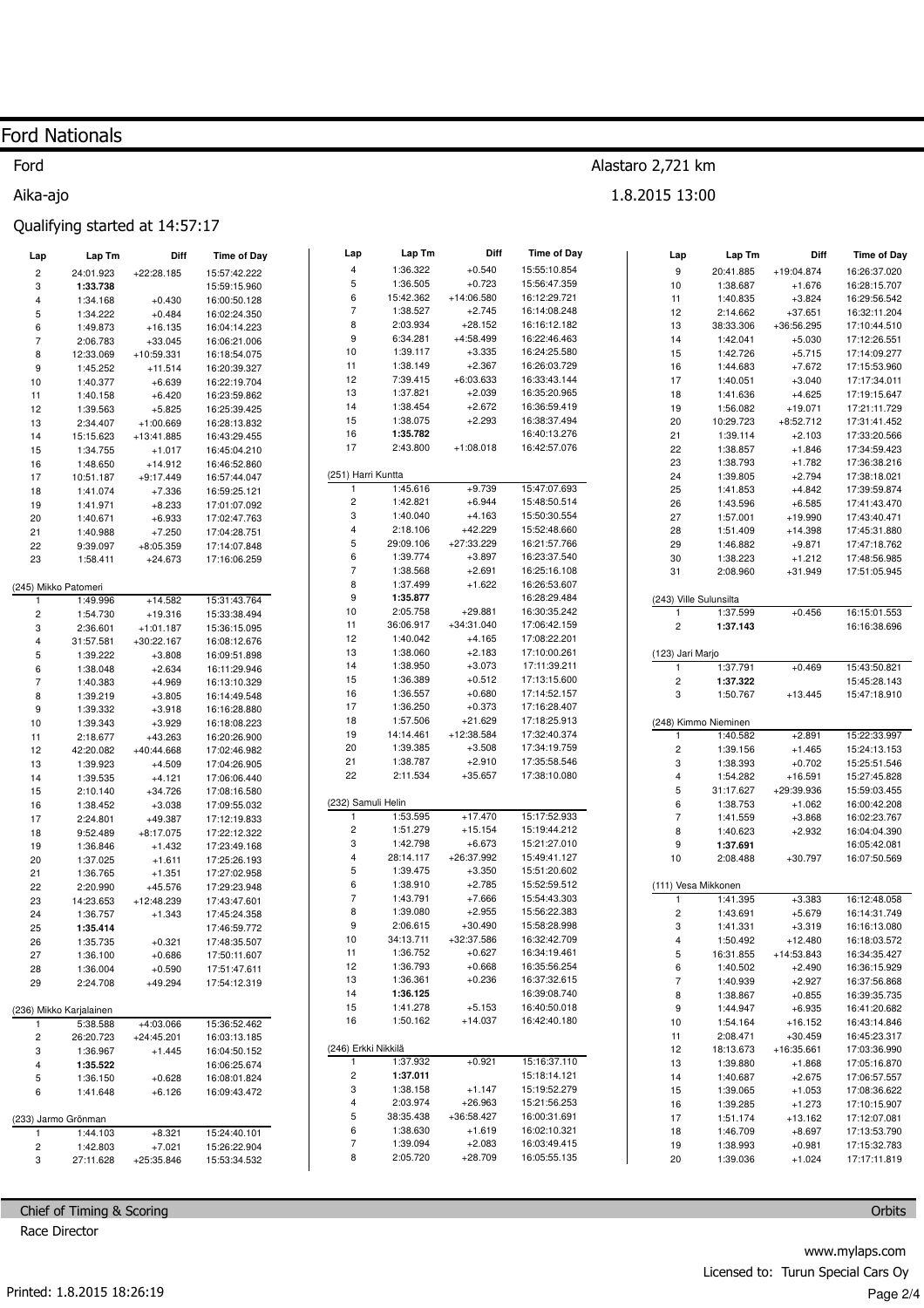### Ford

#### Aika-ajo

## Qualifying started at 14:57:17

| Lap                       | Lap Tm                  | Diff                     | <b>Time of Day</b>           | Lap                                | Lap Tm                | Diff                   | <b>Time of Day</b>           |          | Lap Tm<br>Lap                                   | Diff                 | <b>Time of Day</b>           |
|---------------------------|-------------------------|--------------------------|------------------------------|------------------------------------|-----------------------|------------------------|------------------------------|----------|-------------------------------------------------|----------------------|------------------------------|
| $\mathbf 2$               | 24:01.923               | $+22:28.185$             | 15:57:42.222                 | $\overline{4}$                     | 1:36.322              | $+0.540$               | 15:55:10.854                 |          | $\boldsymbol{9}$<br>20:41.885                   | +19:04.874           | 16:26:37.020                 |
| 3                         | 1:33.738                |                          | 15:59:15.960                 | 5                                  | 1:36.505              | $+0.723$               | 15:56:47.359                 | 10       | 1:38.687                                        | $+1.676$             | 16:28:15.707                 |
| 4                         | 1:34.168                | $+0.430$                 | 16:00:50.128                 | 6                                  | 15:42.362             | +14:06.580             | 16:12:29.721                 | 11       | 1:40.835                                        | $+3.824$             | 16:29:56.542                 |
| 5                         | 1:34.222                | $+0.484$                 | 16:02:24.350                 | $\overline{7}$                     | 1:38.527              | $+2.745$               | 16:14:08.248                 | 12       | 2:14.662                                        | $+37.651$            | 16:32:11.204                 |
| 6                         | 1:49.873                | $+16.135$                | 16:04:14.223                 | 8                                  | 2:03.934              | $+28.152$              | 16:16:12.182                 | 13       | 38:33.306                                       | +36:56.295           | 17:10:44.510                 |
| $\overline{7}$            | 2:06.783                | $+33.045$                | 16:06:21.006                 | 9                                  | 6:34.281              | $+4:58.499$            | 16:22:46.463                 | 14       | 1:42.041                                        | $+5.030$             | 17:12:26.551                 |
| 8                         | 12:33.069               | +10:59.331               | 16:18:54.075                 | 10                                 | 1:39.117              | $+3.335$               | 16:24:25.580                 | 15       | 1:42.726                                        | $+5.715$             | 17:14:09.277                 |
| 9                         | 1:45.252                | $+11.514$                | 16:20:39.327                 | 11                                 | 1:38.149              | $+2.367$               | 16:26:03.729                 | 16       | 1:44.683                                        | $+7.672$             | 17:15:53.960                 |
| 10                        | 1:40.377                | $+6.639$                 | 16:22:19.704                 | 12                                 | 7:39.415              | +6:03.633              | 16:33:43.144                 | 17       | 1:40.051                                        | $+3.040$             | 17:17:34.011                 |
| 11                        | 1:40.158                | $+6.420$                 | 16:23:59.862                 | 13                                 | 1:37.821              | $+2.039$               | 16:35:20.965                 | 18       | 1:41.636                                        | $+4.625$             | 17:19:15.647                 |
| 12                        | 1:39.563                | $+5.825$                 | 16:25:39.425                 | 14                                 | 1:38.454              | $+2.672$               | 16:36:59.419                 | 19       | 1:56.082                                        | $+19.071$            | 17:21:11.729                 |
| 13                        | 2:34.407                | +1:00.669                | 16:28:13.832                 | 15                                 | 1:38.075              | $+2.293$               | 16:38:37.494                 | 20       | 10:29.723                                       | $+8:52.712$          | 17:31:41.452                 |
| 14                        | 15:15.623               | +13:41.885               | 16:43:29.455                 | 16                                 | 1:35.782              |                        | 16:40:13.276                 | 21       | 1:39.114                                        | $+2.103$             | 17:33:20.566                 |
| 15                        | 1:34.755                | $+1.017$                 | 16:45:04.210                 | 17                                 | 2:43.800              | $+1:08.018$            | 16:42:57.076                 | 22       | 1:38.857                                        | $+1.846$             | 17:34:59.423                 |
| 16                        | 1:48.650                | $+14.912$                | 16:46:52.860                 |                                    |                       |                        |                              | 23       | 1:38.793                                        | $+1.782$             | 17:36:38.216                 |
| 17                        | 10:51.187               | $+9:17.449$              | 16:57:44.047                 | (251) Harri Kuntta<br>$\mathbf{1}$ | 1:45.616              |                        |                              | 24       | 1:39.805                                        | $+2.794$             | 17:38:18.021                 |
| 18                        | 1:41.074                | $+7.336$                 | 16:59:25.121                 | $\overline{c}$                     | 1:42.821              | $+9.739$<br>$+6.944$   | 15:47:07.693<br>15:48:50.514 | 25       | 1:41.853                                        | $+4.842$             | 17:39:59.874                 |
| 19                        | 1:41.971                | $+8.233$                 | 17:01:07.092                 | 3                                  | 1:40.040              |                        | 15:50:30.554                 | 26       | 1:43.596                                        | $+6.585$             | 17:41:43.470                 |
| 20                        | 1:40.671                | $+6.933$                 | 17:02:47.763                 | $\overline{4}$                     | 2:18.106              | $+4.163$<br>$+42.229$  | 15:52:48.660                 | 27       | 1:57.001                                        | $+19.990$            | 17:43:40.471                 |
| 21                        | 1:40.988                | $+7.250$                 | 17:04:28.751                 | 5                                  | 29:09.106             | +27:33.229             | 16:21:57.766                 | 28<br>29 | 1:51.409                                        | $+14.398$            | 17:45:31.880                 |
| 22                        | 9:39.097                | $+8:05.359$              | 17:14:07.848                 | 6                                  | 1:39.774              | $+3.897$               | 16:23:37.540                 | 30       | 1:46.882<br>1:38.223                            | $+9.871$<br>$+1.212$ | 17:47:18.762<br>17:48:56.985 |
| 23                        | 1:58.411                | $+24.673$                | 17:16:06.259                 | $\overline{7}$                     | 1:38.568              | $+2.691$               | 16:25:16.108                 | 31       | 2:08.960                                        | $+31.949$            | 17:51:05.945                 |
|                           |                         |                          |                              | 8                                  | 1:37.499              | $+1.622$               | 16:26:53.607                 |          |                                                 |                      |                              |
| (245) Mikko Patomeri<br>1 |                         | $+14.582$                | 15:31:43.764                 | 9                                  | 1:35.877              |                        | 16:28:29.484                 |          | (243) Ville Sulunsilta                          |                      |                              |
| $\overline{c}$            | 1:49.996<br>1:54.730    |                          | 15:33:38.494                 | 10                                 | 2:05.758              | $+29.881$              | 16:30:35.242                 |          | 1:37.599<br>$\mathbf{1}$                        | $+0.456$             | 16:15:01.553                 |
| 3                         | 2:36.601                | $+19.316$<br>$+1:01.187$ | 15:36:15.095                 | 11                                 | 36:06.917             | +34:31.040             | 17:06:42.159                 |          | $\overline{c}$<br>1:37.143                      |                      | 16:16:38.696                 |
| 4                         | 31:57.581               | +30:22.167               | 16:08:12.676                 | 12                                 | 1:40.042              | $+4.165$               | 17:08:22.201                 |          |                                                 |                      |                              |
| 5                         | 1:39.222                | $+3.808$                 | 16:09:51.898                 | 13                                 | 1:38.060              | $+2.183$               | 17:10:00.261                 |          | (123) Jari Marjo                                |                      |                              |
| 6                         | 1:38.048                | $+2.634$                 | 16:11:29.946                 | 14                                 | 1:38.950              | $+3.073$               | 17:11:39.211                 |          | 1:37.791<br>$\mathbf{1}$                        | $+0.469$             | 15:43:50.821                 |
| 7                         | 1:40.383                | $+4.969$                 | 16:13:10.329                 | 15                                 | 1:36.389              | $+0.512$               | 17:13:15.600                 |          | $\mathbf 2$<br>1:37.322                         |                      | 15:45:28.143                 |
| 8                         | 1:39.219                | $+3.805$                 | 16:14:49.548                 | 16                                 | 1:36.557              | $+0.680$               | 17:14:52.157                 |          | 3<br>1:50.767                                   | $+13.445$            | 15:47:18.910                 |
| 9                         | 1:39.332                | $+3.918$                 | 16:16:28.880                 | 17                                 | 1:36.250              | $+0.373$               | 17:16:28.407                 |          |                                                 |                      |                              |
| 10                        | 1:39.343                | $+3.929$                 | 16:18:08.223                 | 18                                 | 1:57.506              | $+21.629$              | 17:18:25.913                 |          | (248) Kimmo Nieminen                            |                      |                              |
| 11                        | 2:18.677                | $+43.263$                | 16:20:26.900                 | 19                                 | 14:14.461             | +12:38.584             | 17:32:40.374                 |          | 1:40.582<br>$\mathbf{1}$                        | $+2.891$             | 15:22:33.997                 |
| 12                        | 42:20.082               | +40:44.668               | 17:02:46.982                 | 20                                 | 1:39.385              | $+3.508$               | 17:34:19.759                 |          | $\overline{\mathbf{c}}$<br>1:39.156             | $+1.465$             | 15:24:13.153                 |
| 13                        | 1:39.923                | $+4.509$                 | 17:04:26.905                 | 21                                 | 1:38.787              | $+2.910$               | 17:35:58.546                 |          | 3<br>1:38.393                                   | $+0.702$             | 15:25:51.546                 |
| 14                        | 1:39.535                | $+4.121$                 | 17:06:06.440                 | 22                                 | 2:11.534              | $+35.657$              | 17:38:10.080                 |          | 1:54.282<br>$\overline{4}$                      | $+16.591$            | 15:27:45.828                 |
| 15                        | 2:10.140                | $+34.726$                | 17:08:16.580                 |                                    |                       |                        |                              |          | 5<br>31:17.627                                  | +29:39.936           | 15:59:03.455                 |
| 16                        | 1:38.452                | $+3.038$                 | 17:09:55.032                 | (232) Samuli Helin                 |                       |                        |                              |          | $\,6\,$<br>1:38.753                             | $+1.062$             | 16:00:42.208                 |
| 17                        | 2:24.801                | $+49.387$                | 17:12:19.833                 | $\mathbf{1}$                       | 1:53.595              | $+17.470$              | 15:17:52.933                 |          | $\overline{7}$<br>1:41.559                      | $+3.868$             | 16:02:23.767                 |
| 18                        | 9:52.489                | $+8:17.075$              | 17:22:12.322                 | $\overline{c}$                     | 1:51.279              | $+15.154$              | 15:19:44.212                 |          | 8<br>1:40.623                                   | $+2.932$             | 16:04:04.390                 |
| 19                        | 1:36.846                | $+1.432$                 | 17:23:49.168                 | 3<br>$\overline{4}$                | 1:42.798<br>28:14.117 | $+6.673$<br>+26:37.992 | 15:21:27.010<br>15:49:41.127 |          | $\boldsymbol{9}$<br>1:37.691                    |                      | 16:05:42.081                 |
| 20                        | 1:37.025                | $+1.611$                 | 17:25:26.193                 | 5                                  |                       |                        |                              | 10       | 2:08.488                                        | $+30.797$            | 16:07:50.569                 |
| 21                        | 1:36.765                | $+1.351$                 | 17:27:02.958                 | 6                                  | 1:39.475<br>1:38.910  | $+3.350$<br>$+2.785$   | 15:51:20.602<br>15:52:59.512 |          |                                                 |                      |                              |
| 22                        | 2:20.990                | $+45.576$                | 17:29:23.948                 | $\overline{7}$                     | 1:43.791              | $+7.666$               | 15:54:43.303                 |          | (111) Vesa Mikkonen<br>1:41.395<br>$\mathbf{1}$ | $+3.383$             | 16:12:48.058                 |
| 23<br>24                  | 14:23.653               | +12:48.239               | 17:43:47.601                 | 8                                  | 1:39.080              | $+2.955$               | 15:56:22.383                 |          | $\overline{c}$<br>1:43.691                      | $+5.679$             | 16:14:31.749                 |
| 25                        | 1:36.757                | $+1.343$                 | 17:45:24.358<br>17:46:59.772 | 9                                  | 2:06.615              | $+30.490$              | 15:58:28.998                 |          | 3<br>1:41.331                                   | $+3.319$             | 16:16:13.080                 |
| 26                        | 1:35.414<br>1:35.735    | $+0.321$                 | 17:48:35.507                 | 10                                 | 34:13.711             | +32:37.586             | 16:32:42.709                 |          | $\overline{4}$<br>1:50.492                      | $+12.480$            | 16:18:03.572                 |
| 27                        | 1:36.100                |                          | 17:50:11.607                 | 11                                 | 1:36.752              | $+0.627$               | 16:34:19.461                 |          | 5<br>16:31.855                                  | +14:53.843           | 16:34:35.427                 |
| 28                        | 1:36.004                | $+0.686$<br>$+0.590$     | 17:51:47.611                 | 12                                 | 1:36.793              | $+0.668$               | 16:35:56.254                 |          | 6<br>1:40.502                                   | $+2.490$             | 16:36:15.929                 |
| 29                        | 2:24.708                | +49.294                  | 17:54:12.319                 | 13                                 | 1:36.361              | $+0.236$               | 16:37:32.615                 |          | $\overline{7}$<br>1:40.939                      | $+2.927$             | 16:37:56.868                 |
|                           |                         |                          |                              | 14                                 | 1:36.125              |                        | 16:39:08.740                 |          | 8<br>1:38.867                                   | $+0.855$             | 16:39:35.735                 |
|                           | (236) Mikko Karjalainen |                          |                              | 15                                 | 1:41.278              | $+5.153$               | 16:40:50.018                 |          | 9<br>1:44.947                                   | $+6.935$             | 16:41:20.682                 |
| $\mathbf{1}$              | 5:38.588                | $+4:03.066$              | 15:36:52.462                 | 16                                 | 1:50.162              | $+14.037$              | 16:42:40.180                 | 10       | 1:54.164                                        | $+16.152$            | 16:43:14.846                 |
| 2                         | 26:20.723               | $+24:45.201$             | 16:03:13.185                 |                                    |                       |                        |                              | 11       | 2:08.471                                        | $+30.459$            | 16:45:23.317                 |
| 3                         | 1:36.967                | $+1.445$                 | 16:04:50.152                 | (246) Erkki Nikkilä                |                       |                        |                              | 12       | 18:13.673                                       | +16:35.661           | 17:03:36.990                 |
| 4                         | 1:35.522                |                          | 16:06:25.674                 | 1                                  | 1:37.932              | $+0.921$               | 15:16:37.110                 | 13       | 1:39.880                                        | $+1.868$             | 17:05:16.870                 |
| 5                         | 1:36.150                | $+0.628$                 | 16:08:01.824                 | $\overline{c}$                     | 1:37.011              |                        | 15:18:14.121                 | 14       | 1:40.687                                        | $+2.675$             | 17:06:57.557                 |
| 6                         | 1:41.648                | $+6.126$                 | 16:09:43.472                 | 3                                  | 1:38.158              | $+1.147$               | 15:19:52.279                 | 15       | 1:39.065                                        | $+1.053$             | 17:08:36.622                 |
|                           |                         |                          |                              | 4                                  | 2:03.974              | $+26.963$              | 15:21:56.253                 | 16       | 1:39.285                                        | $+1.273$             | 17:10:15.907                 |
| (233) Jarmo Grönman       |                         |                          |                              | 5                                  | 38:35.438             | +36:58.427             | 16:00:31.691                 | 17       | 1:51.174                                        | $+13.162$            | 17:12:07.081                 |
| 1                         | 1:44.103                | $+8.321$                 | 15:24:40.101                 | 6                                  | 1:38.630              | $+1.619$               | 16:02:10.321                 | 18       | 1:46.709                                        | $+8.697$             | 17:13:53.790                 |
| 2                         | 1:42.803                | $+7.021$                 | 15:26:22.904                 | 7                                  | 1:39.094              | $+2.083$               | 16:03:49.415                 | 19       | 1:38.993                                        | $+0.981$             | 17:15:32.783                 |
| 3                         | 27:11.628               | +25:35.846               | 15:53:34.532                 | 8                                  | 2:05.720              | $+28.709$              | 16:05:55.135                 | 20       | 1:39.036                                        | $+1.024$             | 17:17:11.819                 |

Chief of Timing & Scoring Race Director

Printed: 1.8.2015 18:26:19

**Orbits** 

## Alastaro 2,721 km

1.8.2015 13:00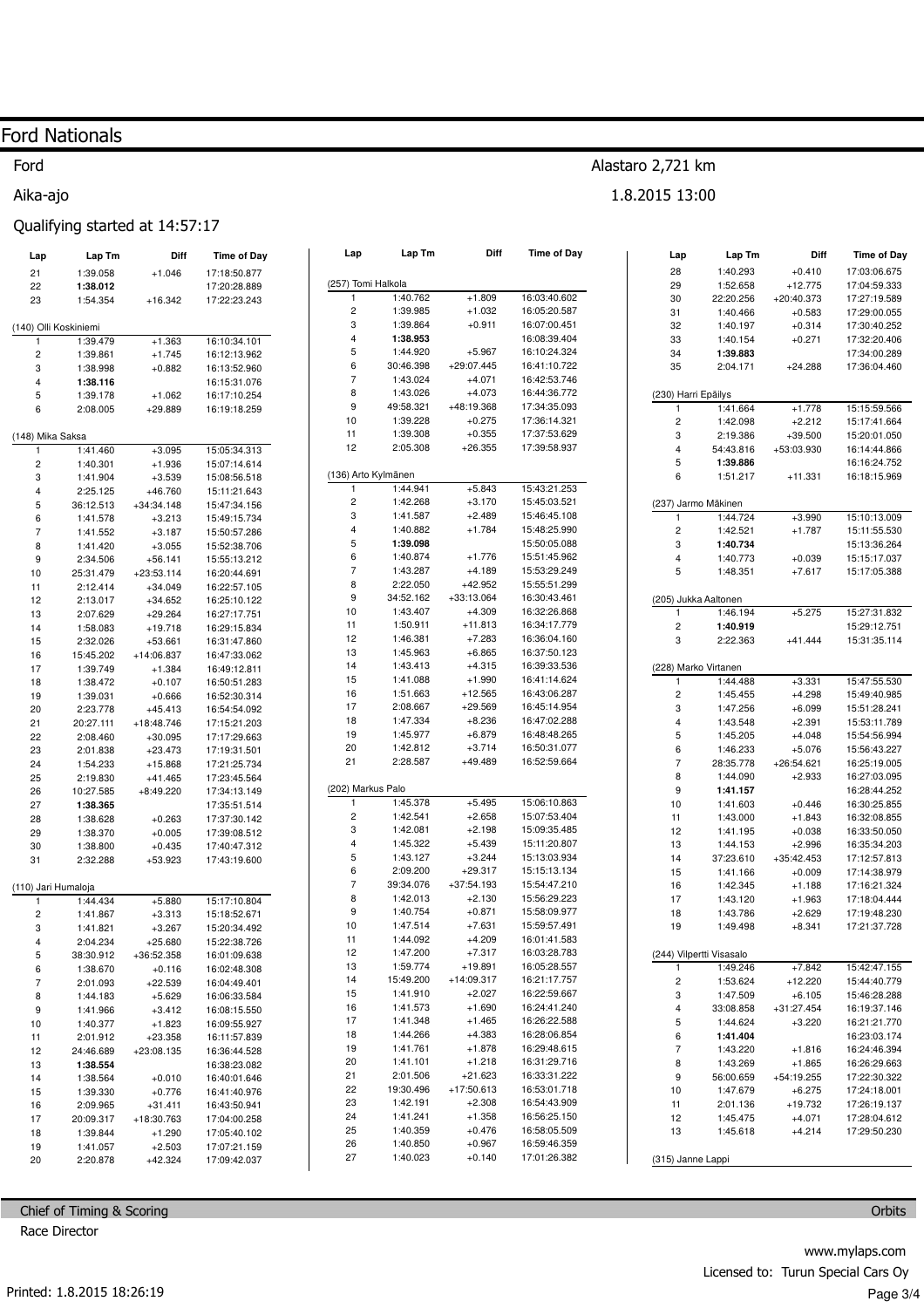Ford

#### Aika-ajo

#### Qualifying started at 14:57:17

| Lap Tm               | Diff                 | <b>Time of Day</b>           | Lap                     | Lap Tm               | Diff                   | <b>Time of Day</b>           |
|----------------------|----------------------|------------------------------|-------------------------|----------------------|------------------------|------------------------------|
| 1:39.058             | $+1.046$             | 17:18:50.877                 |                         |                      |                        |                              |
| 1:38.012             |                      | 17:20:28.889                 | (257) Tomi Halkola      |                      |                        |                              |
| 1:54.354             | $+16.342$            | 17:22:23.243                 | 1                       | 1:40.762             | $+1.809$               | 16:03:40.602                 |
|                      |                      |                              | $\overline{\mathbf{c}}$ | 1:39.985             | $+1.032$               | 16:05:20.587                 |
| skiniemi             |                      |                              | 3                       | 1:39.864             | $+0.911$               | 16:07:00.451                 |
| 1:39.479             | $+1.363$             | 16:10:34.101                 | 4                       | 1:38.953             |                        | 16:08:39.404                 |
| 1:39.861             | $+1.745$             | 16:12:13.962                 | 5                       | 1:44.920             | $+5.967$               | 16:10:24.324                 |
| 1:38.998             | $+0.882$             | 16:13:52.960                 | 6                       | 30:46.398            | +29:07.445             | 16:41:10.722                 |
| 1:38.116             |                      | 16:15:31.076                 | $\overline{7}$          | 1:43.024             | $+4.071$               | 16:42:53.746                 |
| 1:39.178             | $+1.062$             | 16:17:10.254                 | 8                       | 1:43.026             | $+4.073$               | 16:44:36.772                 |
| 2:08.005             | $+29.889$            | 16:19:18.259                 | 9                       | 49:58.321            | +48:19.368             | 17:34:35.093                 |
|                      |                      |                              | 10<br>11                | 1:39.228<br>1:39.308 | $+0.275$               | 17:36:14.321<br>17:37:53.629 |
| aksa                 |                      |                              | 12                      | 2:05.308             | $+0.355$<br>$+26.355$  | 17:39:58.937                 |
| 1:41.460             | $+3.095$             | 15:05:34.313<br>15:07:14.614 |                         |                      |                        |                              |
| 1:40.301<br>1:41.904 | $+1.936$<br>$+3.539$ | 15:08:56.518                 | (136) Arto Kylmänen     |                      |                        |                              |
| 2:25.125             | $+46.760$            | 15:11:21.643                 | 1                       | 1:44.941             | $+5.843$               | 15:43:21.253                 |
| 36:12.513            | +34:34.148           | 15:47:34.156                 | $\overline{\mathbf{c}}$ | 1:42.268             | $+3.170$               | 15:45:03.521                 |
| 1:41.578             | $+3.213$             | 15:49:15.734                 | 3                       | 1:41.587             | $+2.489$               | 15:46:45.108                 |
| 1:41.552             | $+3.187$             | 15:50:57.286                 | 4                       | 1:40.882             | $+1.784$               | 15:48:25.990                 |
| 1:41.420             | $+3.055$             | 15:52:38.706                 | 5                       | 1:39.098             |                        | 15:50:05.088                 |
| 2:34.506             | $+56.141$            | 15:55:13.212                 | 6                       | 1:40.874             | $+1.776$               | 15:51:45.962                 |
| 25:31.479            | $+23:53.114$         | 16:20:44.691                 | $\overline{7}$          | 1:43.287             | $+4.189$               | 15:53:29.249                 |
| 2:12.414             | $+34.049$            | 16:22:57.105                 | 8                       | 2:22.050             | $+42.952$              | 15:55:51.299                 |
| 2:13.017             | $+34.652$            | 16:25:10.122                 | 9                       | 34:52.162            | +33:13.064             | 16:30:43.461                 |
| 2:07.629             | $+29.264$            | 16:27:17.751                 | 10                      | 1:43.407             | $+4.309$               | 16:32:26.868                 |
| 1:58.083             | $+19.718$            | 16:29:15.834                 | 11                      | 1:50.911             | $+11.813$              | 16:34:17.779                 |
| 2:32.026             | $+53.661$            | 16:31:47.860                 | 12                      | 1:46.381             | $+7.283$               | 16:36:04.160                 |
| 15:45.202            | +14:06.837           | 16:47:33.062                 | 13                      | 1:45.963             | $+6.865$               | 16:37:50.123                 |
| 1:39.749             | $+1.384$             | 16:49:12.811                 | 14                      | 1:43.413             | $+4.315$               | 16:39:33.536                 |
| 1:38.472             | $+0.107$             | 16:50:51.283                 | 15                      | 1:41.088             | $+1.990$               | 16:41:14.624                 |
| 1:39.031             | $+0.666$             | 16:52:30.314                 | 16<br>17                | 1:51.663<br>2:08.667 | $+12.565$<br>$+29.569$ | 16:43:06.287<br>16:45:14.954 |
| 2:23.778             | $+45.413$            | 16:54:54.092                 | 18                      | 1:47.334             | $+8.236$               | 16:47:02.288                 |
| 20:27.111            | +18:48.746           | 17:15:21.203                 | 19                      | 1:45.977             | $+6.879$               | 16:48:48.265                 |
| 2:08.460             | $+30.095$            | 17:17:29.663                 | 20                      | 1:42.812             | $+3.714$               | 16:50:31.077                 |
| 2:01.838<br>1:54.233 | $+23.473$<br>+15.868 | 17:19:31.501<br>17:21:25.734 | 21                      | 2:28.587             | $+49.489$              | 16:52:59.664                 |
| 2:19.830             | +41.465              | 17:23:45.564                 |                         |                      |                        |                              |
| 10:27.585            | $+8:49.220$          | 17:34:13.149                 | (202) Markus Palo       |                      |                        |                              |
| 1:38.365             |                      | 17:35:51.514                 | 1                       | 1:45.378             | $+5.495$               | 15:06:10.863                 |
| 1:38.628             | $+0.263$             | 17:37:30.142                 | $\overline{\mathbf{c}}$ | 1:42.541             | $+2.658$               | 15:07:53.404                 |
| 1:38.370             | $+0.005$             | 17:39:08.512                 | 3                       | 1:42.081             | $+2.198$               | 15:09:35.485                 |
| 1:38.800             | $+0.435$             | 17:40:47.312                 | 4                       | 1:45.322             | $+5.439$               | 15:11:20.807                 |
| 2:32.288             | $+53.923$            | 17:43:19.600                 | 5                       | 1:43.127             | $+3.244$               | 15:13:03.934                 |
|                      |                      |                              | 6                       | 2:09.200             | $+29.317$              | 15:15:13.134                 |
| maloja               |                      |                              | $\overline{7}$          | 39:34.076            | +37:54.193             | 15:54:47.210                 |
| 1:44.434             | $+5.880$             | 15:17:10.804                 | 8                       | 1:42.013             | $+2.130$               | 15:56:29.223                 |
| 1:41.867             | $+3.313$             | 15:18:52.671                 | 9                       | 1:40.754             | $+0.871$               | 15:58:09.977                 |
| 1:41.821             | $+3.267$             | 15:20:34.492                 | 10                      | 1:47.514             | $+7.631$               | 15:59:57.491                 |
| 2:04.234             | $+25.680$            | 15:22:38.726                 | 11<br>12                | 1:44.092<br>1:47.200 | $+4.209$<br>$+7.317$   | 16:01:41.583<br>16:03:28.783 |
| 38:30.912            | +36:52.358           | 16:01:09.638                 | 13                      | 1:59.774             | +19.891                | 16:05:28.557                 |
| 1:38.670             | $+0.116$             | 16:02:48.308                 | 14                      | 15:49.200            | +14:09.317             | 16:21:17.757                 |
| 2:01.093             | +22.539              | 16:04:49.401                 | 15                      | 1:41.910             | $+2.027$               | 16:22:59.667                 |
| 1:44.183             | $+5.629$<br>$+3.412$ | 16:06:33.584<br>16:08:15.550 | 16                      | 1:41.573             | $+1.690$               | 16:24:41.240                 |
| 1:41.966<br>1:40.377 | $+1.823$             | 16:09:55.927                 | 17                      | 1:41.348             | $+1.465$               | 16:26:22.588                 |
| 2:01.912             | $+23.358$            | 16:11:57.839                 | 18                      | 1:44.266             | $+4.383$               | 16:28:06.854                 |
| 24:46.689            | +23:08.135           | 16:36:44.528                 | 19                      | 1:41.761             | $+1.878$               | 16:29:48.615                 |
| 1:38.554             |                      | 16:38:23.082                 | 20                      | 1:41.101             | $+1.218$               | 16:31:29.716                 |
| 1:38.564             | $+0.010$             | 16:40:01.646                 | 21                      | 2:01.506             | +21.623                | 16:33:31.222                 |
| 1:39.330             | $+0.776$             | 16:41:40.976                 | 22                      | 19:30.496            | +17:50.613             | 16:53:01.718                 |
| 2:09.965             | $+31.411$            | 16:43:50.941                 | 23                      | 1:42.191             | $+2.308$               | 16:54:43.909                 |
| 20:09.317            | +18:30.763           | 17:04:00.258                 | 24                      | 1:41.241             | $+1.358$               | 16:56:25.150                 |
| 1:39.844             | $+1.290$             | 17:05:40.102                 | 25                      | 1:40.359             | $+0.476$               | 16:58:05.509                 |
| 1:41.057             | $+2.503$             | 17:07:21.159                 | 26                      | 1:40.850             | $+0.967$               | 16:59:46.359                 |
| 2:20.878             | +42.324              | 17:09:42.037                 | 27                      | 1:40.023             | $+0.140$               | 17:01:26.382                 |

Chief of Timing & Scoring

Race Director

### Alastaro 2,721 km

1.8.2015 13:00

| Lap                                                                                                                                                                                                                                                                                                                                                                                                                                                                                                                                                                                                                                                                                                                                                                                                                                                                                                                                                                                                                                                                                                                                                                                                                                                                                                                                                                                                                                                                                                                                                                                                                                                                                                                                                                                                                                                                                                                                                                                                                                                                                                                                                                                                                                                                                                                                                                                                                                                                             | Lap Tm    | Diff         | Time of Day  |  |  |
|---------------------------------------------------------------------------------------------------------------------------------------------------------------------------------------------------------------------------------------------------------------------------------------------------------------------------------------------------------------------------------------------------------------------------------------------------------------------------------------------------------------------------------------------------------------------------------------------------------------------------------------------------------------------------------------------------------------------------------------------------------------------------------------------------------------------------------------------------------------------------------------------------------------------------------------------------------------------------------------------------------------------------------------------------------------------------------------------------------------------------------------------------------------------------------------------------------------------------------------------------------------------------------------------------------------------------------------------------------------------------------------------------------------------------------------------------------------------------------------------------------------------------------------------------------------------------------------------------------------------------------------------------------------------------------------------------------------------------------------------------------------------------------------------------------------------------------------------------------------------------------------------------------------------------------------------------------------------------------------------------------------------------------------------------------------------------------------------------------------------------------------------------------------------------------------------------------------------------------------------------------------------------------------------------------------------------------------------------------------------------------------------------------------------------------------------------------------------------------|-----------|--------------|--------------|--|--|
| 28                                                                                                                                                                                                                                                                                                                                                                                                                                                                                                                                                                                                                                                                                                                                                                                                                                                                                                                                                                                                                                                                                                                                                                                                                                                                                                                                                                                                                                                                                                                                                                                                                                                                                                                                                                                                                                                                                                                                                                                                                                                                                                                                                                                                                                                                                                                                                                                                                                                                              | 1:40.293  | $+0.410$     | 17:03:06.675 |  |  |
| 29                                                                                                                                                                                                                                                                                                                                                                                                                                                                                                                                                                                                                                                                                                                                                                                                                                                                                                                                                                                                                                                                                                                                                                                                                                                                                                                                                                                                                                                                                                                                                                                                                                                                                                                                                                                                                                                                                                                                                                                                                                                                                                                                                                                                                                                                                                                                                                                                                                                                              | 1:52.658  | $+12.775$    | 17:04:59.333 |  |  |
| 30                                                                                                                                                                                                                                                                                                                                                                                                                                                                                                                                                                                                                                                                                                                                                                                                                                                                                                                                                                                                                                                                                                                                                                                                                                                                                                                                                                                                                                                                                                                                                                                                                                                                                                                                                                                                                                                                                                                                                                                                                                                                                                                                                                                                                                                                                                                                                                                                                                                                              | 22:20.256 | $+20:40.373$ | 17:27:19.589 |  |  |
|                                                                                                                                                                                                                                                                                                                                                                                                                                                                                                                                                                                                                                                                                                                                                                                                                                                                                                                                                                                                                                                                                                                                                                                                                                                                                                                                                                                                                                                                                                                                                                                                                                                                                                                                                                                                                                                                                                                                                                                                                                                                                                                                                                                                                                                                                                                                                                                                                                                                                 |           |              |              |  |  |
|                                                                                                                                                                                                                                                                                                                                                                                                                                                                                                                                                                                                                                                                                                                                                                                                                                                                                                                                                                                                                                                                                                                                                                                                                                                                                                                                                                                                                                                                                                                                                                                                                                                                                                                                                                                                                                                                                                                                                                                                                                                                                                                                                                                                                                                                                                                                                                                                                                                                                 |           |              |              |  |  |
|                                                                                                                                                                                                                                                                                                                                                                                                                                                                                                                                                                                                                                                                                                                                                                                                                                                                                                                                                                                                                                                                                                                                                                                                                                                                                                                                                                                                                                                                                                                                                                                                                                                                                                                                                                                                                                                                                                                                                                                                                                                                                                                                                                                                                                                                                                                                                                                                                                                                                 |           |              |              |  |  |
|                                                                                                                                                                                                                                                                                                                                                                                                                                                                                                                                                                                                                                                                                                                                                                                                                                                                                                                                                                                                                                                                                                                                                                                                                                                                                                                                                                                                                                                                                                                                                                                                                                                                                                                                                                                                                                                                                                                                                                                                                                                                                                                                                                                                                                                                                                                                                                                                                                                                                 |           |              |              |  |  |
|                                                                                                                                                                                                                                                                                                                                                                                                                                                                                                                                                                                                                                                                                                                                                                                                                                                                                                                                                                                                                                                                                                                                                                                                                                                                                                                                                                                                                                                                                                                                                                                                                                                                                                                                                                                                                                                                                                                                                                                                                                                                                                                                                                                                                                                                                                                                                                                                                                                                                 |           |              |              |  |  |
|                                                                                                                                                                                                                                                                                                                                                                                                                                                                                                                                                                                                                                                                                                                                                                                                                                                                                                                                                                                                                                                                                                                                                                                                                                                                                                                                                                                                                                                                                                                                                                                                                                                                                                                                                                                                                                                                                                                                                                                                                                                                                                                                                                                                                                                                                                                                                                                                                                                                                 |           |              |              |  |  |
|                                                                                                                                                                                                                                                                                                                                                                                                                                                                                                                                                                                                                                                                                                                                                                                                                                                                                                                                                                                                                                                                                                                                                                                                                                                                                                                                                                                                                                                                                                                                                                                                                                                                                                                                                                                                                                                                                                                                                                                                                                                                                                                                                                                                                                                                                                                                                                                                                                                                                 |           |              |              |  |  |
|                                                                                                                                                                                                                                                                                                                                                                                                                                                                                                                                                                                                                                                                                                                                                                                                                                                                                                                                                                                                                                                                                                                                                                                                                                                                                                                                                                                                                                                                                                                                                                                                                                                                                                                                                                                                                                                                                                                                                                                                                                                                                                                                                                                                                                                                                                                                                                                                                                                                                 |           |              |              |  |  |
|                                                                                                                                                                                                                                                                                                                                                                                                                                                                                                                                                                                                                                                                                                                                                                                                                                                                                                                                                                                                                                                                                                                                                                                                                                                                                                                                                                                                                                                                                                                                                                                                                                                                                                                                                                                                                                                                                                                                                                                                                                                                                                                                                                                                                                                                                                                                                                                                                                                                                 |           |              |              |  |  |
|                                                                                                                                                                                                                                                                                                                                                                                                                                                                                                                                                                                                                                                                                                                                                                                                                                                                                                                                                                                                                                                                                                                                                                                                                                                                                                                                                                                                                                                                                                                                                                                                                                                                                                                                                                                                                                                                                                                                                                                                                                                                                                                                                                                                                                                                                                                                                                                                                                                                                 |           |              |              |  |  |
|                                                                                                                                                                                                                                                                                                                                                                                                                                                                                                                                                                                                                                                                                                                                                                                                                                                                                                                                                                                                                                                                                                                                                                                                                                                                                                                                                                                                                                                                                                                                                                                                                                                                                                                                                                                                                                                                                                                                                                                                                                                                                                                                                                                                                                                                                                                                                                                                                                                                                 |           |              |              |  |  |
|                                                                                                                                                                                                                                                                                                                                                                                                                                                                                                                                                                                                                                                                                                                                                                                                                                                                                                                                                                                                                                                                                                                                                                                                                                                                                                                                                                                                                                                                                                                                                                                                                                                                                                                                                                                                                                                                                                                                                                                                                                                                                                                                                                                                                                                                                                                                                                                                                                                                                 |           |              |              |  |  |
|                                                                                                                                                                                                                                                                                                                                                                                                                                                                                                                                                                                                                                                                                                                                                                                                                                                                                                                                                                                                                                                                                                                                                                                                                                                                                                                                                                                                                                                                                                                                                                                                                                                                                                                                                                                                                                                                                                                                                                                                                                                                                                                                                                                                                                                                                                                                                                                                                                                                                 |           |              |              |  |  |
|                                                                                                                                                                                                                                                                                                                                                                                                                                                                                                                                                                                                                                                                                                                                                                                                                                                                                                                                                                                                                                                                                                                                                                                                                                                                                                                                                                                                                                                                                                                                                                                                                                                                                                                                                                                                                                                                                                                                                                                                                                                                                                                                                                                                                                                                                                                                                                                                                                                                                 |           |              |              |  |  |
|                                                                                                                                                                                                                                                                                                                                                                                                                                                                                                                                                                                                                                                                                                                                                                                                                                                                                                                                                                                                                                                                                                                                                                                                                                                                                                                                                                                                                                                                                                                                                                                                                                                                                                                                                                                                                                                                                                                                                                                                                                                                                                                                                                                                                                                                                                                                                                                                                                                                                 |           |              |              |  |  |
| 31<br>1:40.466<br>17:29:00.055<br>$+0.583$<br>1:40.197<br>17:30:40.252<br>32<br>$+0.314$<br>33<br>1:40.154<br>$+0.271$<br>17:32:20.406<br>1:39.883<br>17:34:00.289<br>34<br>35<br>2:04.171<br>17:36:04.460<br>$+24.288$<br>(230) Harri Epäilys<br>1<br>1:41.664<br>$+1.778$<br>15:15:59.566<br>2<br>15:17:41.664<br>1:42.098<br>$+2.212$<br>3<br>$+39.500$<br>15:20:01.050<br>2:19.386<br>4<br>54:43.816<br>+53:03.930<br>16:14:44.866<br>1:39.886<br>16:16:24.752<br>5<br>1:51.217<br>16:18:15.969<br>6<br>$+11.331$<br>(237) Jarmo Mäkinen<br>1<br>1:44.724<br>$+3.990$<br>15:10:13.009<br>2<br>1:42.521<br>$+1.787$<br>15:11:55.530<br>1:40.734<br>15:13:36.264<br>3<br>4<br>1:40.773<br>$+0.039$<br>15:15:17.037<br>5<br>1:48.351<br>$+7.617$<br>15:17:05.388<br>(205) Jukka Aaltonen<br>1:46.194<br>$+5.275$<br>15:27:31.832<br>1<br>15:29:12.751<br>2<br>1:40.919<br>3<br>2:22.363<br>$+41.444$<br>15:31:35.114<br>(228) Marko Virtanen<br>1:44.488<br>$+3.331$<br>15:47:55.530<br>1<br>1:45.455<br>15:49:40.985<br>2<br>$+4.298$<br>3<br>1:47.256<br>15:51:28.241<br>$+6.099$<br>4<br>1:43.548<br>$+2.391$<br>15:53:11.789<br>1:45.205<br>15:54:56.994<br>5<br>$+4.048$<br>1:46.233<br>$+5.076$<br>15:56:43.227<br>6<br>7<br>28:35.778<br>$+26:54.621$<br>16:25:19.005<br>8<br>1:44.090<br>16:27:03.095<br>$+2.933$<br>9<br>1:41.157<br>16:28:44.252<br>10<br>1:41.603<br>16:30:25.855<br>$+0.446$<br>11<br>1:43.000<br>$+1.843$<br>16:32:08.855<br>12<br>1:41.195<br>$+0.038$<br>16:33:50.050<br>13<br>1:44.153<br>16:35:34.203<br>$+2.996$<br>14<br>37:23.610<br>+35:42.453<br>17:12:57.813<br>15<br>1:41.166<br>17:14:38.979<br>$+0.009$<br>1:42.345<br>17:16:21.324<br>16<br>$+1.188$<br>17<br>1:43.120<br>$+1.963$<br>17:18:04.444<br>1:43.786<br>18<br>$+2.629$<br>17:19:48.230<br>19<br>1:49.498<br>$+8.341$<br>17:21:37.728<br>(244) Vilpertti Visasalo<br>1<br>1:49.246<br>$+7.842$<br>15:42:47.155<br>2<br>1:53.624<br>15:44:40.779<br>$+12.220$<br>3<br>1:47.509<br>15:46:28.288<br>$+6.105$<br>4<br>33:08.858<br>+31:27.454<br>16:19:37.146<br>5<br>1:44.624<br>$+3.220$<br>16:21:21.770<br>6<br>1:41.404<br>16:23:03.174<br>7<br>1:43.220<br>16:24:46.394<br>$+1.816$<br>8<br>1:43.269<br>$+1.865$<br>16:26:29.663<br>9<br>56:00.659<br>+54:19.255<br>17:22:30.322<br>1:47.679<br>10<br>$+6.275$<br>17:24:18.001<br>11<br>2:01.136<br>$+19.732$<br>17:26:19.137<br>1:45.475<br>12<br>$+4.071$<br>17:28:04.612<br>$+4.214$<br>13<br>1:45.618<br>17:29:50.230 |           |              |              |  |  |
|                                                                                                                                                                                                                                                                                                                                                                                                                                                                                                                                                                                                                                                                                                                                                                                                                                                                                                                                                                                                                                                                                                                                                                                                                                                                                                                                                                                                                                                                                                                                                                                                                                                                                                                                                                                                                                                                                                                                                                                                                                                                                                                                                                                                                                                                                                                                                                                                                                                                                 |           |              |              |  |  |
|                                                                                                                                                                                                                                                                                                                                                                                                                                                                                                                                                                                                                                                                                                                                                                                                                                                                                                                                                                                                                                                                                                                                                                                                                                                                                                                                                                                                                                                                                                                                                                                                                                                                                                                                                                                                                                                                                                                                                                                                                                                                                                                                                                                                                                                                                                                                                                                                                                                                                 |           |              |              |  |  |
|                                                                                                                                                                                                                                                                                                                                                                                                                                                                                                                                                                                                                                                                                                                                                                                                                                                                                                                                                                                                                                                                                                                                                                                                                                                                                                                                                                                                                                                                                                                                                                                                                                                                                                                                                                                                                                                                                                                                                                                                                                                                                                                                                                                                                                                                                                                                                                                                                                                                                 |           |              |              |  |  |
|                                                                                                                                                                                                                                                                                                                                                                                                                                                                                                                                                                                                                                                                                                                                                                                                                                                                                                                                                                                                                                                                                                                                                                                                                                                                                                                                                                                                                                                                                                                                                                                                                                                                                                                                                                                                                                                                                                                                                                                                                                                                                                                                                                                                                                                                                                                                                                                                                                                                                 |           |              |              |  |  |
|                                                                                                                                                                                                                                                                                                                                                                                                                                                                                                                                                                                                                                                                                                                                                                                                                                                                                                                                                                                                                                                                                                                                                                                                                                                                                                                                                                                                                                                                                                                                                                                                                                                                                                                                                                                                                                                                                                                                                                                                                                                                                                                                                                                                                                                                                                                                                                                                                                                                                 |           |              |              |  |  |
|                                                                                                                                                                                                                                                                                                                                                                                                                                                                                                                                                                                                                                                                                                                                                                                                                                                                                                                                                                                                                                                                                                                                                                                                                                                                                                                                                                                                                                                                                                                                                                                                                                                                                                                                                                                                                                                                                                                                                                                                                                                                                                                                                                                                                                                                                                                                                                                                                                                                                 |           |              |              |  |  |
|                                                                                                                                                                                                                                                                                                                                                                                                                                                                                                                                                                                                                                                                                                                                                                                                                                                                                                                                                                                                                                                                                                                                                                                                                                                                                                                                                                                                                                                                                                                                                                                                                                                                                                                                                                                                                                                                                                                                                                                                                                                                                                                                                                                                                                                                                                                                                                                                                                                                                 |           |              |              |  |  |
|                                                                                                                                                                                                                                                                                                                                                                                                                                                                                                                                                                                                                                                                                                                                                                                                                                                                                                                                                                                                                                                                                                                                                                                                                                                                                                                                                                                                                                                                                                                                                                                                                                                                                                                                                                                                                                                                                                                                                                                                                                                                                                                                                                                                                                                                                                                                                                                                                                                                                 |           |              |              |  |  |
|                                                                                                                                                                                                                                                                                                                                                                                                                                                                                                                                                                                                                                                                                                                                                                                                                                                                                                                                                                                                                                                                                                                                                                                                                                                                                                                                                                                                                                                                                                                                                                                                                                                                                                                                                                                                                                                                                                                                                                                                                                                                                                                                                                                                                                                                                                                                                                                                                                                                                 |           |              |              |  |  |
|                                                                                                                                                                                                                                                                                                                                                                                                                                                                                                                                                                                                                                                                                                                                                                                                                                                                                                                                                                                                                                                                                                                                                                                                                                                                                                                                                                                                                                                                                                                                                                                                                                                                                                                                                                                                                                                                                                                                                                                                                                                                                                                                                                                                                                                                                                                                                                                                                                                                                 |           |              |              |  |  |
|                                                                                                                                                                                                                                                                                                                                                                                                                                                                                                                                                                                                                                                                                                                                                                                                                                                                                                                                                                                                                                                                                                                                                                                                                                                                                                                                                                                                                                                                                                                                                                                                                                                                                                                                                                                                                                                                                                                                                                                                                                                                                                                                                                                                                                                                                                                                                                                                                                                                                 |           |              |              |  |  |
|                                                                                                                                                                                                                                                                                                                                                                                                                                                                                                                                                                                                                                                                                                                                                                                                                                                                                                                                                                                                                                                                                                                                                                                                                                                                                                                                                                                                                                                                                                                                                                                                                                                                                                                                                                                                                                                                                                                                                                                                                                                                                                                                                                                                                                                                                                                                                                                                                                                                                 |           |              |              |  |  |
|                                                                                                                                                                                                                                                                                                                                                                                                                                                                                                                                                                                                                                                                                                                                                                                                                                                                                                                                                                                                                                                                                                                                                                                                                                                                                                                                                                                                                                                                                                                                                                                                                                                                                                                                                                                                                                                                                                                                                                                                                                                                                                                                                                                                                                                                                                                                                                                                                                                                                 |           |              |              |  |  |
|                                                                                                                                                                                                                                                                                                                                                                                                                                                                                                                                                                                                                                                                                                                                                                                                                                                                                                                                                                                                                                                                                                                                                                                                                                                                                                                                                                                                                                                                                                                                                                                                                                                                                                                                                                                                                                                                                                                                                                                                                                                                                                                                                                                                                                                                                                                                                                                                                                                                                 |           |              |              |  |  |
|                                                                                                                                                                                                                                                                                                                                                                                                                                                                                                                                                                                                                                                                                                                                                                                                                                                                                                                                                                                                                                                                                                                                                                                                                                                                                                                                                                                                                                                                                                                                                                                                                                                                                                                                                                                                                                                                                                                                                                                                                                                                                                                                                                                                                                                                                                                                                                                                                                                                                 |           |              |              |  |  |
|                                                                                                                                                                                                                                                                                                                                                                                                                                                                                                                                                                                                                                                                                                                                                                                                                                                                                                                                                                                                                                                                                                                                                                                                                                                                                                                                                                                                                                                                                                                                                                                                                                                                                                                                                                                                                                                                                                                                                                                                                                                                                                                                                                                                                                                                                                                                                                                                                                                                                 |           |              |              |  |  |
|                                                                                                                                                                                                                                                                                                                                                                                                                                                                                                                                                                                                                                                                                                                                                                                                                                                                                                                                                                                                                                                                                                                                                                                                                                                                                                                                                                                                                                                                                                                                                                                                                                                                                                                                                                                                                                                                                                                                                                                                                                                                                                                                                                                                                                                                                                                                                                                                                                                                                 |           |              |              |  |  |
|                                                                                                                                                                                                                                                                                                                                                                                                                                                                                                                                                                                                                                                                                                                                                                                                                                                                                                                                                                                                                                                                                                                                                                                                                                                                                                                                                                                                                                                                                                                                                                                                                                                                                                                                                                                                                                                                                                                                                                                                                                                                                                                                                                                                                                                                                                                                                                                                                                                                                 |           |              |              |  |  |
|                                                                                                                                                                                                                                                                                                                                                                                                                                                                                                                                                                                                                                                                                                                                                                                                                                                                                                                                                                                                                                                                                                                                                                                                                                                                                                                                                                                                                                                                                                                                                                                                                                                                                                                                                                                                                                                                                                                                                                                                                                                                                                                                                                                                                                                                                                                                                                                                                                                                                 |           |              |              |  |  |
|                                                                                                                                                                                                                                                                                                                                                                                                                                                                                                                                                                                                                                                                                                                                                                                                                                                                                                                                                                                                                                                                                                                                                                                                                                                                                                                                                                                                                                                                                                                                                                                                                                                                                                                                                                                                                                                                                                                                                                                                                                                                                                                                                                                                                                                                                                                                                                                                                                                                                 |           |              |              |  |  |
|                                                                                                                                                                                                                                                                                                                                                                                                                                                                                                                                                                                                                                                                                                                                                                                                                                                                                                                                                                                                                                                                                                                                                                                                                                                                                                                                                                                                                                                                                                                                                                                                                                                                                                                                                                                                                                                                                                                                                                                                                                                                                                                                                                                                                                                                                                                                                                                                                                                                                 |           |              |              |  |  |
|                                                                                                                                                                                                                                                                                                                                                                                                                                                                                                                                                                                                                                                                                                                                                                                                                                                                                                                                                                                                                                                                                                                                                                                                                                                                                                                                                                                                                                                                                                                                                                                                                                                                                                                                                                                                                                                                                                                                                                                                                                                                                                                                                                                                                                                                                                                                                                                                                                                                                 |           |              |              |  |  |
|                                                                                                                                                                                                                                                                                                                                                                                                                                                                                                                                                                                                                                                                                                                                                                                                                                                                                                                                                                                                                                                                                                                                                                                                                                                                                                                                                                                                                                                                                                                                                                                                                                                                                                                                                                                                                                                                                                                                                                                                                                                                                                                                                                                                                                                                                                                                                                                                                                                                                 |           |              |              |  |  |
|                                                                                                                                                                                                                                                                                                                                                                                                                                                                                                                                                                                                                                                                                                                                                                                                                                                                                                                                                                                                                                                                                                                                                                                                                                                                                                                                                                                                                                                                                                                                                                                                                                                                                                                                                                                                                                                                                                                                                                                                                                                                                                                                                                                                                                                                                                                                                                                                                                                                                 |           |              |              |  |  |
|                                                                                                                                                                                                                                                                                                                                                                                                                                                                                                                                                                                                                                                                                                                                                                                                                                                                                                                                                                                                                                                                                                                                                                                                                                                                                                                                                                                                                                                                                                                                                                                                                                                                                                                                                                                                                                                                                                                                                                                                                                                                                                                                                                                                                                                                                                                                                                                                                                                                                 |           |              |              |  |  |
|                                                                                                                                                                                                                                                                                                                                                                                                                                                                                                                                                                                                                                                                                                                                                                                                                                                                                                                                                                                                                                                                                                                                                                                                                                                                                                                                                                                                                                                                                                                                                                                                                                                                                                                                                                                                                                                                                                                                                                                                                                                                                                                                                                                                                                                                                                                                                                                                                                                                                 |           |              |              |  |  |
|                                                                                                                                                                                                                                                                                                                                                                                                                                                                                                                                                                                                                                                                                                                                                                                                                                                                                                                                                                                                                                                                                                                                                                                                                                                                                                                                                                                                                                                                                                                                                                                                                                                                                                                                                                                                                                                                                                                                                                                                                                                                                                                                                                                                                                                                                                                                                                                                                                                                                 |           |              |              |  |  |
|                                                                                                                                                                                                                                                                                                                                                                                                                                                                                                                                                                                                                                                                                                                                                                                                                                                                                                                                                                                                                                                                                                                                                                                                                                                                                                                                                                                                                                                                                                                                                                                                                                                                                                                                                                                                                                                                                                                                                                                                                                                                                                                                                                                                                                                                                                                                                                                                                                                                                 |           |              |              |  |  |
|                                                                                                                                                                                                                                                                                                                                                                                                                                                                                                                                                                                                                                                                                                                                                                                                                                                                                                                                                                                                                                                                                                                                                                                                                                                                                                                                                                                                                                                                                                                                                                                                                                                                                                                                                                                                                                                                                                                                                                                                                                                                                                                                                                                                                                                                                                                                                                                                                                                                                 |           |              |              |  |  |
|                                                                                                                                                                                                                                                                                                                                                                                                                                                                                                                                                                                                                                                                                                                                                                                                                                                                                                                                                                                                                                                                                                                                                                                                                                                                                                                                                                                                                                                                                                                                                                                                                                                                                                                                                                                                                                                                                                                                                                                                                                                                                                                                                                                                                                                                                                                                                                                                                                                                                 |           |              |              |  |  |
|                                                                                                                                                                                                                                                                                                                                                                                                                                                                                                                                                                                                                                                                                                                                                                                                                                                                                                                                                                                                                                                                                                                                                                                                                                                                                                                                                                                                                                                                                                                                                                                                                                                                                                                                                                                                                                                                                                                                                                                                                                                                                                                                                                                                                                                                                                                                                                                                                                                                                 |           |              |              |  |  |
|                                                                                                                                                                                                                                                                                                                                                                                                                                                                                                                                                                                                                                                                                                                                                                                                                                                                                                                                                                                                                                                                                                                                                                                                                                                                                                                                                                                                                                                                                                                                                                                                                                                                                                                                                                                                                                                                                                                                                                                                                                                                                                                                                                                                                                                                                                                                                                                                                                                                                 |           |              |              |  |  |
|                                                                                                                                                                                                                                                                                                                                                                                                                                                                                                                                                                                                                                                                                                                                                                                                                                                                                                                                                                                                                                                                                                                                                                                                                                                                                                                                                                                                                                                                                                                                                                                                                                                                                                                                                                                                                                                                                                                                                                                                                                                                                                                                                                                                                                                                                                                                                                                                                                                                                 |           |              |              |  |  |
|                                                                                                                                                                                                                                                                                                                                                                                                                                                                                                                                                                                                                                                                                                                                                                                                                                                                                                                                                                                                                                                                                                                                                                                                                                                                                                                                                                                                                                                                                                                                                                                                                                                                                                                                                                                                                                                                                                                                                                                                                                                                                                                                                                                                                                                                                                                                                                                                                                                                                 |           |              |              |  |  |
|                                                                                                                                                                                                                                                                                                                                                                                                                                                                                                                                                                                                                                                                                                                                                                                                                                                                                                                                                                                                                                                                                                                                                                                                                                                                                                                                                                                                                                                                                                                                                                                                                                                                                                                                                                                                                                                                                                                                                                                                                                                                                                                                                                                                                                                                                                                                                                                                                                                                                 |           |              |              |  |  |
|                                                                                                                                                                                                                                                                                                                                                                                                                                                                                                                                                                                                                                                                                                                                                                                                                                                                                                                                                                                                                                                                                                                                                                                                                                                                                                                                                                                                                                                                                                                                                                                                                                                                                                                                                                                                                                                                                                                                                                                                                                                                                                                                                                                                                                                                                                                                                                                                                                                                                 |           |              |              |  |  |
|                                                                                                                                                                                                                                                                                                                                                                                                                                                                                                                                                                                                                                                                                                                                                                                                                                                                                                                                                                                                                                                                                                                                                                                                                                                                                                                                                                                                                                                                                                                                                                                                                                                                                                                                                                                                                                                                                                                                                                                                                                                                                                                                                                                                                                                                                                                                                                                                                                                                                 |           |              |              |  |  |
|                                                                                                                                                                                                                                                                                                                                                                                                                                                                                                                                                                                                                                                                                                                                                                                                                                                                                                                                                                                                                                                                                                                                                                                                                                                                                                                                                                                                                                                                                                                                                                                                                                                                                                                                                                                                                                                                                                                                                                                                                                                                                                                                                                                                                                                                                                                                                                                                                                                                                 |           |              |              |  |  |
|                                                                                                                                                                                                                                                                                                                                                                                                                                                                                                                                                                                                                                                                                                                                                                                                                                                                                                                                                                                                                                                                                                                                                                                                                                                                                                                                                                                                                                                                                                                                                                                                                                                                                                                                                                                                                                                                                                                                                                                                                                                                                                                                                                                                                                                                                                                                                                                                                                                                                 |           |              |              |  |  |
|                                                                                                                                                                                                                                                                                                                                                                                                                                                                                                                                                                                                                                                                                                                                                                                                                                                                                                                                                                                                                                                                                                                                                                                                                                                                                                                                                                                                                                                                                                                                                                                                                                                                                                                                                                                                                                                                                                                                                                                                                                                                                                                                                                                                                                                                                                                                                                                                                                                                                 |           |              |              |  |  |
|                                                                                                                                                                                                                                                                                                                                                                                                                                                                                                                                                                                                                                                                                                                                                                                                                                                                                                                                                                                                                                                                                                                                                                                                                                                                                                                                                                                                                                                                                                                                                                                                                                                                                                                                                                                                                                                                                                                                                                                                                                                                                                                                                                                                                                                                                                                                                                                                                                                                                 |           |              |              |  |  |
|                                                                                                                                                                                                                                                                                                                                                                                                                                                                                                                                                                                                                                                                                                                                                                                                                                                                                                                                                                                                                                                                                                                                                                                                                                                                                                                                                                                                                                                                                                                                                                                                                                                                                                                                                                                                                                                                                                                                                                                                                                                                                                                                                                                                                                                                                                                                                                                                                                                                                 |           |              |              |  |  |
|                                                                                                                                                                                                                                                                                                                                                                                                                                                                                                                                                                                                                                                                                                                                                                                                                                                                                                                                                                                                                                                                                                                                                                                                                                                                                                                                                                                                                                                                                                                                                                                                                                                                                                                                                                                                                                                                                                                                                                                                                                                                                                                                                                                                                                                                                                                                                                                                                                                                                 |           |              |              |  |  |
|                                                                                                                                                                                                                                                                                                                                                                                                                                                                                                                                                                                                                                                                                                                                                                                                                                                                                                                                                                                                                                                                                                                                                                                                                                                                                                                                                                                                                                                                                                                                                                                                                                                                                                                                                                                                                                                                                                                                                                                                                                                                                                                                                                                                                                                                                                                                                                                                                                                                                 |           |              |              |  |  |
|                                                                                                                                                                                                                                                                                                                                                                                                                                                                                                                                                                                                                                                                                                                                                                                                                                                                                                                                                                                                                                                                                                                                                                                                                                                                                                                                                                                                                                                                                                                                                                                                                                                                                                                                                                                                                                                                                                                                                                                                                                                                                                                                                                                                                                                                                                                                                                                                                                                                                 |           |              |              |  |  |
|                                                                                                                                                                                                                                                                                                                                                                                                                                                                                                                                                                                                                                                                                                                                                                                                                                                                                                                                                                                                                                                                                                                                                                                                                                                                                                                                                                                                                                                                                                                                                                                                                                                                                                                                                                                                                                                                                                                                                                                                                                                                                                                                                                                                                                                                                                                                                                                                                                                                                 |           |              |              |  |  |
|                                                                                                                                                                                                                                                                                                                                                                                                                                                                                                                                                                                                                                                                                                                                                                                                                                                                                                                                                                                                                                                                                                                                                                                                                                                                                                                                                                                                                                                                                                                                                                                                                                                                                                                                                                                                                                                                                                                                                                                                                                                                                                                                                                                                                                                                                                                                                                                                                                                                                 |           |              |              |  |  |
|                                                                                                                                                                                                                                                                                                                                                                                                                                                                                                                                                                                                                                                                                                                                                                                                                                                                                                                                                                                                                                                                                                                                                                                                                                                                                                                                                                                                                                                                                                                                                                                                                                                                                                                                                                                                                                                                                                                                                                                                                                                                                                                                                                                                                                                                                                                                                                                                                                                                                 |           |              |              |  |  |
|                                                                                                                                                                                                                                                                                                                                                                                                                                                                                                                                                                                                                                                                                                                                                                                                                                                                                                                                                                                                                                                                                                                                                                                                                                                                                                                                                                                                                                                                                                                                                                                                                                                                                                                                                                                                                                                                                                                                                                                                                                                                                                                                                                                                                                                                                                                                                                                                                                                                                 |           |              |              |  |  |
| (315) Janne Lappi                                                                                                                                                                                                                                                                                                                                                                                                                                                                                                                                                                                                                                                                                                                                                                                                                                                                                                                                                                                                                                                                                                                                                                                                                                                                                                                                                                                                                                                                                                                                                                                                                                                                                                                                                                                                                                                                                                                                                                                                                                                                                                                                                                                                                                                                                                                                                                                                                                                               |           |              |              |  |  |

**Orbits** 

www.mylaps.com Licensed to: Turun Special Cars Oy Page 3/4